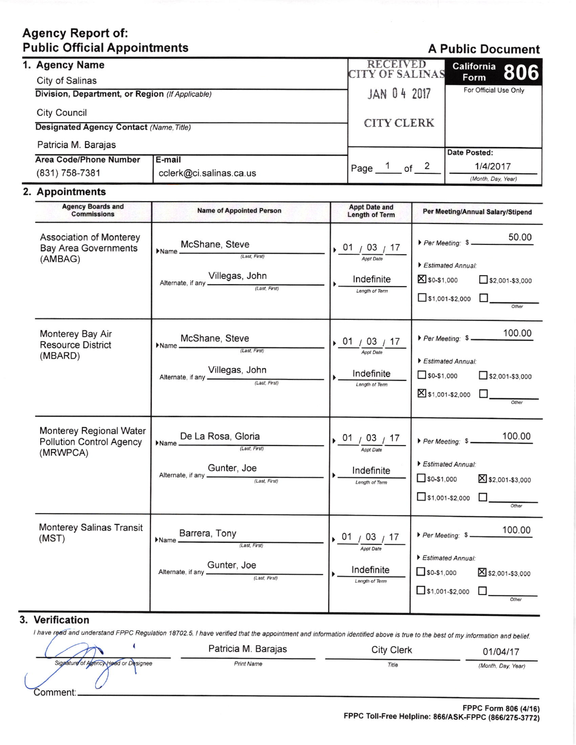# **Agency Report of: Public Official Appointments**

## **A Public Document**

| 1. Agency Name<br>City of Salinas               |                         | <b>RECEIVED</b><br><b>CITY OF SALINAS</b> | California 806<br>Form |
|-------------------------------------------------|-------------------------|-------------------------------------------|------------------------|
| Division, Department, or Region (If Applicable) |                         | JAN 04 2017                               | For Official Use Only  |
| <b>City Council</b>                             |                         |                                           |                        |
| Designated Agency Contact (Name, Title)         |                         | <b>CITY CLERK</b>                         |                        |
| Patricia M. Barajas                             |                         |                                           |                        |
|                                                 |                         |                                           | Date Posted:           |
| Area Code/Phone Number                          | l E-mail                | of $2$<br>Page                            | 1/4/2017               |
| (831) 758-7381                                  | cclerk@ci.salinas.ca.us |                                           | (Month, Day, Year)     |

### 2. Appointments

| <b>Agency Boards and</b><br><b>Commissions</b>                         | <b>Name of Appointed Person</b>                                                | <b>Appt Date and</b><br><b>Length of Term</b>                                        | Per Meeting/Annual Salary/Stipend                                                                                  |
|------------------------------------------------------------------------|--------------------------------------------------------------------------------|--------------------------------------------------------------------------------------|--------------------------------------------------------------------------------------------------------------------|
| Association of Monterey<br><b>Bay Area Governments</b><br>(AMBAG)      | McShane, Steve<br>$Name$ <sup>IV</sup><br>Alternate, if any Villegas, John     | $\frac{01}{\frac{1}{\text{Appt Date}}}\frac{03}{17}$<br>Indefinite<br>Length of Term | 50.00<br>Per Meeting: \$<br>Estimated Annual:<br>S \$0-\$1,000<br>$52,001-53,000$<br>$\Box$ \$1,001-\$2,000 $\Box$ |
| Monterey Bay Air<br><b>Resource District</b><br>(MBARD)                | McShane, Steve<br>Name<br>Alternate, if any Villegas, John                     | 01 / 03 / 17<br><b>Appt Date</b><br>Indefinite<br>Length of Term                     | 100.00<br>Per Meeting: \$<br>Estimated Annual:<br>$50-51,000$<br>$52,001-53,000$<br>⊠ \$1,001-\$2,000 □<br>Other   |
| Monterey Regional Water<br><b>Pollution Control Agency</b><br>(MRWPCA) | Name De La Rosa, Gloria<br>Alternate, if any <b>Gunter</b> , Joe (Last, First) | 0.01 / 03 / 17<br><b>Appt Date</b><br>Indefinite<br>Length of Term                   | Estimated Annual:<br>$50-51,000$<br>X \$2,001-\$3,000<br>$51,001-$2,000$                                           |
| Monterey Salinas Transit<br>(MST)                                      | Name Barrera, Tony<br>Alternate, if any <b>Gunter</b> , Joe (Last, First)      | 01/03/17<br><b>Appt Date</b><br>Indefinite<br>Length of Term                         | 100.00<br>Per Meeting: \$<br>Estimated Annual:<br>$50-51,000$<br>S \$2,001-\$3,000<br>$51,001-$2,000$<br>Other     |

#### 3. Verification

I have read and understand FPPC Regulation 18702.5. I have verified that the appointment and information identified above is true to the best of my information and belief.

|                                                  | Patricia M. Barajas | City Clerk | 01/04/17           |
|--------------------------------------------------|---------------------|------------|--------------------|
| Signature of Agency Head or Designee<br>:≀omment | <b>Print Name</b>   | Title      | (Month, Day, Year) |